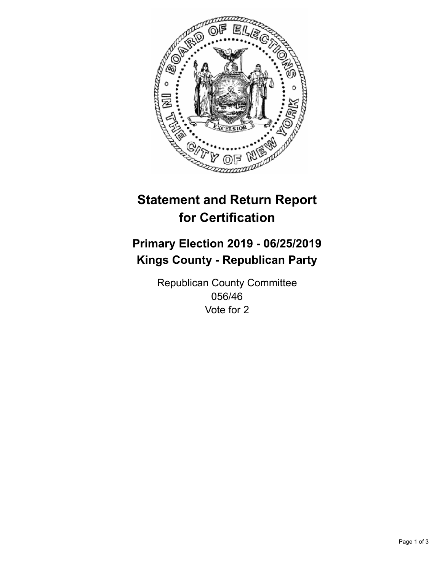

## **Statement and Return Report for Certification**

## **Primary Election 2019 - 06/25/2019 Kings County - Republican Party**

Republican County Committee 056/46 Vote for 2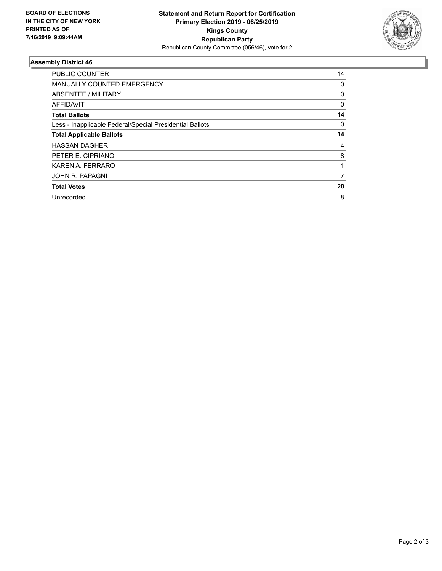

## **Assembly District 46**

| <b>PUBLIC COUNTER</b>                                    | 14       |
|----------------------------------------------------------|----------|
| <b>MANUALLY COUNTED EMERGENCY</b>                        | 0        |
| ABSENTEE / MILITARY                                      | 0        |
| AFFIDAVIT                                                | 0        |
| <b>Total Ballots</b>                                     | 14       |
| Less - Inapplicable Federal/Special Presidential Ballots | $\Omega$ |
| <b>Total Applicable Ballots</b>                          | 14       |
| <b>HASSAN DAGHER</b>                                     | 4        |
| PETER E. CIPRIANO                                        | 8        |
| KAREN A. FERRARO                                         |          |
| JOHN R. PAPAGNI                                          | 7        |
| <b>Total Votes</b>                                       | 20       |
| Unrecorded                                               | 8        |